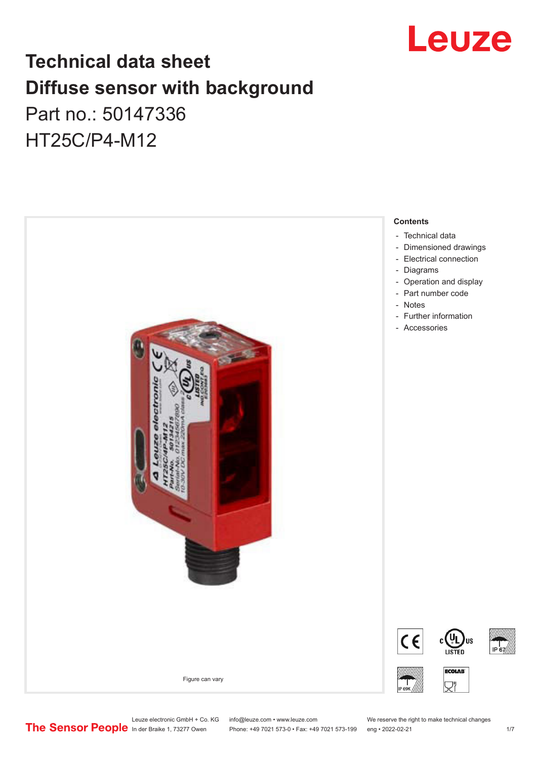

# **Technical data sheet Diffuse sensor with background**  Part no.: 50147336

HT25C/P4-M12



Phone: +49 7021 573-0 • Fax: +49 7021 573-199 eng • 2022-02-21 1 2022-02-21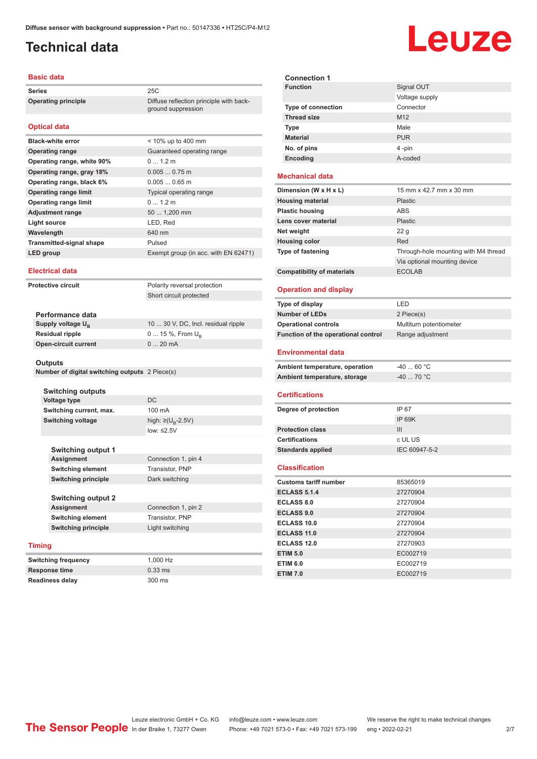ground suppression

# <span id="page-1-0"></span>**Technical data**

### **Basic data**

**Series** 25C **Operating principle** Diffuse reflection principle with back-

### **Optical data**

| <b>Black-white error</b>        | $<$ 10% up to 400 mm                 |
|---------------------------------|--------------------------------------|
| <b>Operating range</b>          | Guaranteed operating range           |
| Operating range, white 90%      | 0, 12m                               |
| Operating range, gray 18%       | $0.0050.75$ m                        |
| Operating range, black 6%       | $0.0050.65$ m                        |
| <b>Operating range limit</b>    | Typical operating range              |
| <b>Operating range limit</b>    | 01.2 m                               |
| <b>Adjustment range</b>         | 50  1,200 mm                         |
| Light source                    | LED, Red                             |
| Wavelength                      | 640 nm                               |
| <b>Transmitted-signal shape</b> | Pulsed                               |
| LED group                       | Exempt group (in acc. with EN 62471) |

#### **Electrical data**

**Protective circuit** Polarity reversal protection

Short circuit protected

| Performance data              |                                     |
|-------------------------------|-------------------------------------|
| Supply voltage U <sub>p</sub> | 10  30 V, DC, Incl. residual ripple |
| <b>Residual ripple</b>        | $0 15 \%$ , From $U_{p}$            |
| <b>Open-circuit current</b>   | $020$ mA                            |
|                               |                                     |

#### **Outputs**

**Number of digital switching outputs** 2 Piece(s)

|                                                                             | <b>Switching outputs</b>   |                                    |
|-----------------------------------------------------------------------------|----------------------------|------------------------------------|
|                                                                             | <b>Voltage type</b>        | DC.                                |
|                                                                             | Switching current, max.    | 100 mA                             |
|                                                                             | <b>Switching voltage</b>   | high: $\geq (U_{\text{B}} - 2.5V)$ |
|                                                                             |                            | low: $\leq 2.5V$                   |
|                                                                             |                            |                                    |
|                                                                             | <b>Switching output 1</b>  |                                    |
|                                                                             | <b>Assignment</b>          | Connection 1, pin 4                |
|                                                                             | <b>Switching element</b>   | Transistor, PNP                    |
|                                                                             | <b>Switching principle</b> | Dark switching                     |
|                                                                             |                            |                                    |
|                                                                             | <b>Switching output 2</b>  |                                    |
| <b>Assignment</b><br><b>Switching element</b><br><b>Switching principle</b> | Connection 1, pin 2        |                                    |
|                                                                             |                            | Transistor, PNP                    |
|                                                                             |                            | Light switching                    |
|                                                                             |                            |                                    |
| <b>Timing</b>                                                               |                            |                                    |
|                                                                             | <b>Switching frequency</b> | 1,000 Hz                           |

**Response time** 0.33 ms **Readiness delay** 300 ms

| <b>Connection 1</b>       |                 |
|---------------------------|-----------------|
| <b>Function</b>           | Signal OUT      |
|                           | Voltage supply  |
| <b>Type of connection</b> | Connector       |
| <b>Thread size</b>        | M <sub>12</sub> |
| <b>Type</b>               | Male            |
| <b>Material</b>           | <b>PUR</b>      |
| No. of pins               | 4-pin           |
| Encoding                  | A-coded         |
| _ _ _ _ _                 |                 |

### **Mechanical data**

| Dimension (W x H x L)             | 15 mm x 42.7 mm x 30 mm              |
|-----------------------------------|--------------------------------------|
| <b>Housing material</b>           | <b>Plastic</b>                       |
| <b>Plastic housing</b>            | ABS                                  |
| Lens cover material               | <b>Plastic</b>                       |
| Net weight                        | 22 <sub>g</sub>                      |
| <b>Housing color</b>              | Red                                  |
| <b>Type of fastening</b>          | Through-hole mounting with M4 thread |
|                                   | Via optional mounting device         |
| <b>Compatibility of materials</b> | <b>ECOLAB</b>                        |

### **Operation and display**

| Type of display                     | LED                     |
|-------------------------------------|-------------------------|
| <b>Number of LEDs</b>               | 2 Piece(s)              |
| <b>Operational controls</b>         | Multiturn potentiometer |
| Function of the operational control | Range adjustment        |
| <b>Environmental data</b>           |                         |
| Ambient temperature operation       | .C° GA<br>-40           |

#### **Ambient temperature, operation** -40 ... 60 °C **Ambient temperature, storage** -40 ... 70 °C

#### **Certifications**

| Degree of protection     | IP 67         |
|--------------------------|---------------|
|                          | IP 69K        |
| <b>Protection class</b>  | Ш             |
| <b>Certifications</b>    | c UL US       |
| <b>Standards applied</b> | IEC 60947-5-2 |
|                          |               |

#### **Classification**

| <b>Customs tariff number</b> | 85365019 |
|------------------------------|----------|
| <b>ECLASS 5.1.4</b>          | 27270904 |
| <b>ECLASS 8.0</b>            | 27270904 |
| <b>ECLASS 9.0</b>            | 27270904 |
| ECLASS 10.0                  | 27270904 |
| <b>ECLASS 11.0</b>           | 27270904 |
| ECLASS 12.0                  | 27270903 |
| <b>ETIM 5.0</b>              | EC002719 |
| <b>ETIM 6.0</b>              | EC002719 |
| <b>ETIM 7.0</b>              | EC002719 |

# Leuze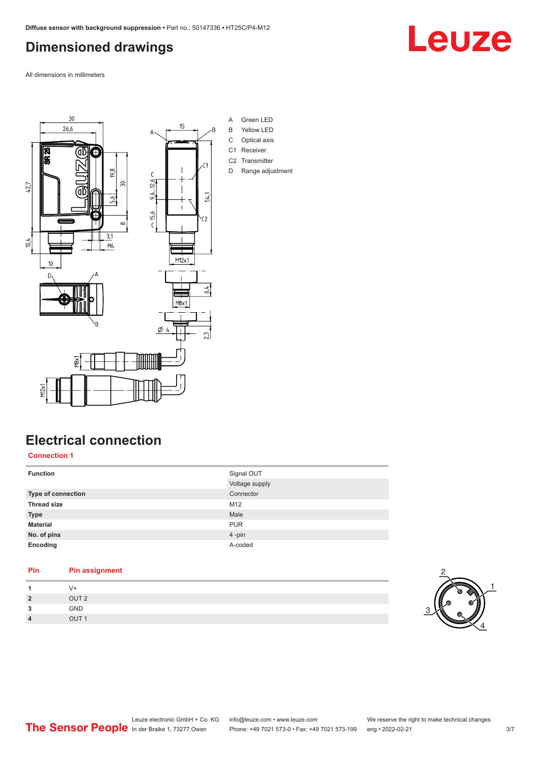# <span id="page-2-0"></span>**Dimensioned drawings**

All dimensions in millimeters



- A Green LED
- B Yellow LED
- C Optical axis
- C2 Transmitter
- D Range adjustment

## **Electrical connection**

**Connection 1**

| <b>Function</b>    | Signal OUT     |
|--------------------|----------------|
|                    | Voltage supply |
| Type of connection | Connector      |
| <b>Thread size</b> | M12            |
| <b>Type</b>        | Male           |
| <b>Material</b>    | <b>PUR</b>     |
| No. of pins        | 4-pin          |
| Encoding           | A-coded        |
|                    |                |

# **Pin Pin assignment 1** V+

|                         | $\mathbf{v}$ .   |
|-------------------------|------------------|
| $\overline{2}$          | OUT <sub>2</sub> |
| 3                       | GND              |
| $\overline{\mathbf{4}}$ | OUT <sub>1</sub> |
|                         |                  |



Leuze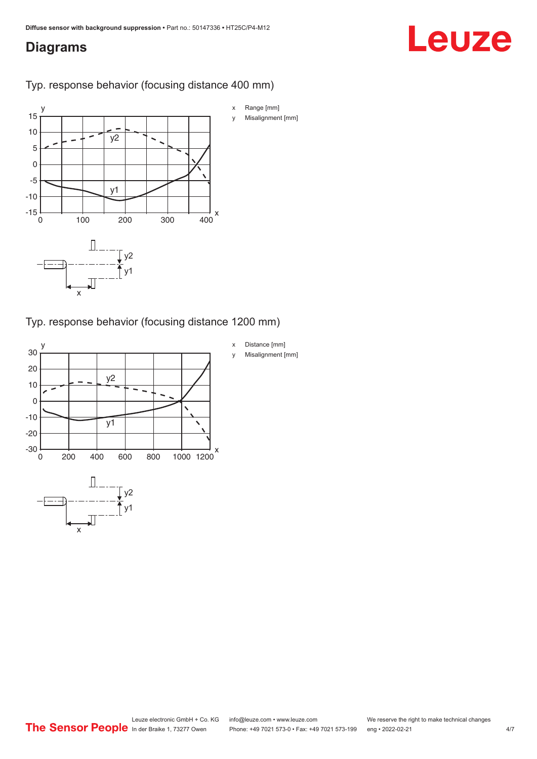## <span id="page-3-0"></span>**Diagrams**

# Leuze

## Typ. response behavior (focusing distance 400 mm)



## Typ. response behavior (focusing distance 1200 mm)

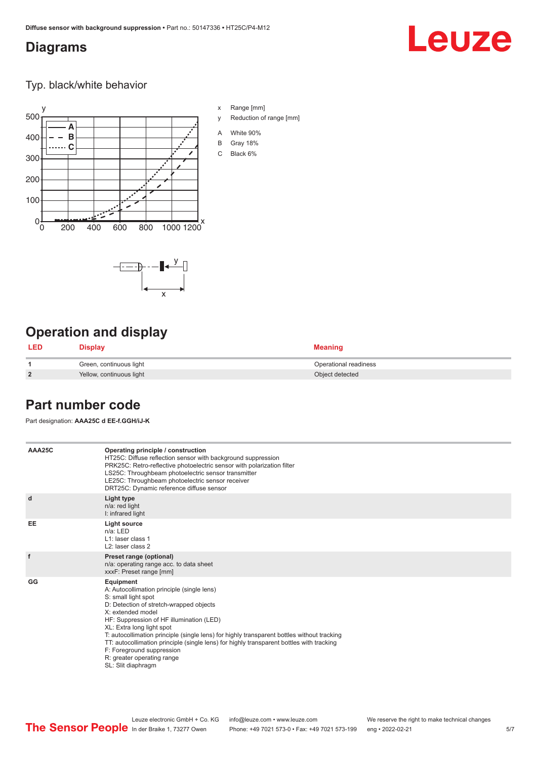## <span id="page-4-0"></span>**Diagrams**

# Leuze

Typ. black/white behavior



x

 $-\overline{...}$   $-\overline{...}$   $-\overline{...}$ 

x Range [mm]

- y Reduction of range [mm]
- A White 90%
- B Gray 18%
- C Black 6%



| LED            | Display                  | <b>Meaning</b>        |
|----------------|--------------------------|-----------------------|
|                | Green, continuous light  | Operational readiness |
| $\overline{2}$ | Yellow, continuous light | Object detected       |

## **Part number code**

Part designation: **AAA25C d EE-f.GGH/iJ-K**

| AAA25C | Operating principle / construction<br>HT25C: Diffuse reflection sensor with background suppression<br>PRK25C: Retro-reflective photoelectric sensor with polarization filter<br>LS25C: Throughbeam photoelectric sensor transmitter<br>LE25C: Throughbeam photoelectric sensor receiver<br>DRT25C: Dynamic reference diffuse sensor                                                                                                                                                                |
|--------|----------------------------------------------------------------------------------------------------------------------------------------------------------------------------------------------------------------------------------------------------------------------------------------------------------------------------------------------------------------------------------------------------------------------------------------------------------------------------------------------------|
| d      | Light type<br>n/a: red light<br>I: infrared light                                                                                                                                                                                                                                                                                                                                                                                                                                                  |
| EE     | Light source<br>$n/a$ : LED<br>$L1$ : laser class 1<br>L <sub>2</sub> : laser class 2                                                                                                                                                                                                                                                                                                                                                                                                              |
| f      | Preset range (optional)<br>n/a: operating range acc. to data sheet<br>xxxF: Preset range [mm]                                                                                                                                                                                                                                                                                                                                                                                                      |
| GG     | Equipment<br>A: Autocollimation principle (single lens)<br>S: small light spot<br>D: Detection of stretch-wrapped objects<br>X: extended model<br>HF: Suppression of HF illumination (LED)<br>XL: Extra long light spot<br>T: autocollimation principle (single lens) for highly transparent bottles without tracking<br>TT: autocollimation principle (single lens) for highly transparent bottles with tracking<br>F: Foreground suppression<br>R: greater operating range<br>SL: Slit diaphragm |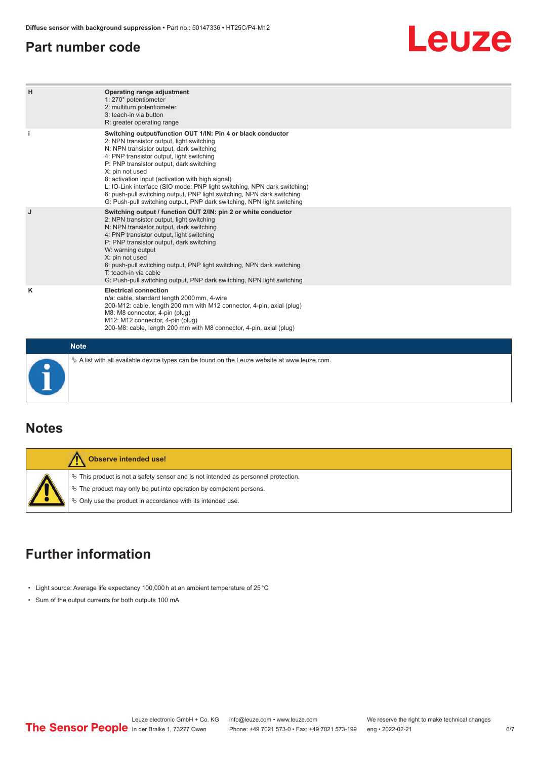## <span id="page-5-0"></span>**Part number code**

# Leuze

| H | Operating range adjustment<br>1: 270° potentiometer<br>2: multiturn potentiometer<br>3: teach-in via button<br>R: greater operating range                                                                                                                                                                                                                                                                                                                                                                                                              |  |  |  |  |  |
|---|--------------------------------------------------------------------------------------------------------------------------------------------------------------------------------------------------------------------------------------------------------------------------------------------------------------------------------------------------------------------------------------------------------------------------------------------------------------------------------------------------------------------------------------------------------|--|--|--|--|--|
|   | Switching output/function OUT 1/IN: Pin 4 or black conductor<br>2: NPN transistor output, light switching<br>N: NPN transistor output, dark switching<br>4: PNP transistor output, light switching<br>P: PNP transistor output, dark switching<br>X: pin not used<br>8: activation input (activation with high signal)<br>L: IO-Link interface (SIO mode: PNP light switching, NPN dark switching)<br>6: push-pull switching output, PNP light switching, NPN dark switching<br>G: Push-pull switching output, PNP dark switching, NPN light switching |  |  |  |  |  |
| J | Switching output / function OUT 2/IN: pin 2 or white conductor<br>2: NPN transistor output, light switching<br>N: NPN transistor output, dark switching<br>4: PNP transistor output, light switching<br>P: PNP transistor output, dark switching<br>W: warning output<br>X: pin not used<br>6: push-pull switching output, PNP light switching, NPN dark switching<br>T: teach-in via cable<br>G: Push-pull switching output, PNP dark switching, NPN light switching                                                                                  |  |  |  |  |  |
| ĸ | <b>Electrical connection</b><br>n/a: cable, standard length 2000 mm, 4-wire<br>200-M12: cable, length 200 mm with M12 connector, 4-pin, axial (plug)<br>M8: M8 connector, 4-pin (plug)<br>M12: M12 connector, 4-pin (plug)<br>200-M8: cable, length 200 mm with M8 connector, 4-pin, axial (plug)                                                                                                                                                                                                                                                      |  |  |  |  |  |
|   | <b>Note</b>                                                                                                                                                                                                                                                                                                                                                                                                                                                                                                                                            |  |  |  |  |  |
|   | $\&$ A list with all available device types can be found on the Leuze website at www.leuze.com.                                                                                                                                                                                                                                                                                                                                                                                                                                                        |  |  |  |  |  |

## **Notes**

| Observe intended use!                                                                                                                                                                                                            |
|----------------------------------------------------------------------------------------------------------------------------------------------------------------------------------------------------------------------------------|
| $\%$ This product is not a safety sensor and is not intended as personnel protection.<br>$\&$ The product may only be put into operation by competent persons.<br>$\&$ Only use the product in accordance with its intended use. |

# **Further information**

- Light source: Average life expectancy 100,000 h at an ambient temperature of 25 °C
- Sum of the output currents for both outputs 100 mA